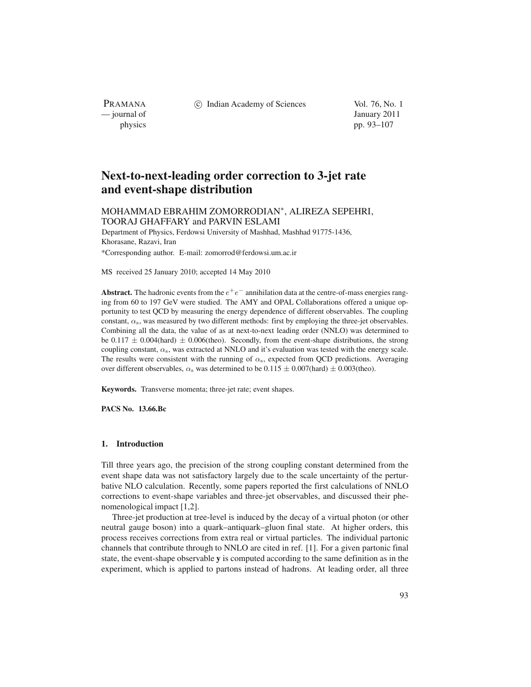(c) Indian Academy of Sciences Vol. 76, No. 1

PRAMANA<br>
— journal of

January 2011 physics pp. 93–107

# **Next-to-next-leading order correction to 3-jet rate and event-shape distribution**

# MOHAMMAD EBRAHIM ZOMORRODIAN∗, ALIREZA SEPEHRI, TOORAJ GHAFFARY and PARVIN ESLAMI

Department of Physics, Ferdowsi University of Mashhad, Mashhad 91775-1436, Khorasane, Razavi, Iran

\*Corresponding author. E-mail: zomorrod@ferdowsi.um.ac.ir

MS received 25 January 2010; accepted 14 May 2010

**Abstract.** The hadronic events from the  $e^+e^-$  annihilation data at the centre-of-mass energies ranging from 60 to 197 GeV were studied. The AMY and OPAL Collaborations offered a unique opportunity to test QCD by measuring the energy dependence of different observables. The coupling constant,  $\alpha_s$ , was measured by two different methods: first by employing the three-jet observables. Combining all the data, the value of as at next-to-next leading order (NNLO) was determined to be 0.117  $\pm$  0.004(hard)  $\pm$  0.006(theo). Secondly, from the event-shape distributions, the strong coupling constant,  $\alpha_s$ , was extracted at NNLO and it's evaluation was tested with the energy scale. The results were consistent with the running of  $\alpha_s$ , expected from QCD predictions. Averaging over different observables,  $\alpha_s$  was determined to be 0.115  $\pm$  0.007(hard)  $\pm$  0.003(theo).

**Keywords.** Transverse momenta; three-jet rate; event shapes.

**PACS No. 13.66.Bc**

## **1. Introduction**

Till three years ago, the precision of the strong coupling constant determined from the event shape data was not satisfactory largely due to the scale uncertainty of the perturbative NLO calculation. Recently, some papers reported the first calculations of NNLO corrections to event-shape variables and three-jet observables, and discussed their phenomenological impact [1,2].

Three-jet production at tree-level is induced by the decay of a virtual photon (or other neutral gauge boson) into a quark–antiquark–gluon final state. At higher orders, this process receives corrections from extra real or virtual particles. The individual partonic channels that contribute through to NNLO are cited in ref. [1]. For a given partonic final state, the event-shape observable **y** is computed according to the same definition as in the experiment, which is applied to partons instead of hadrons. At leading order, all three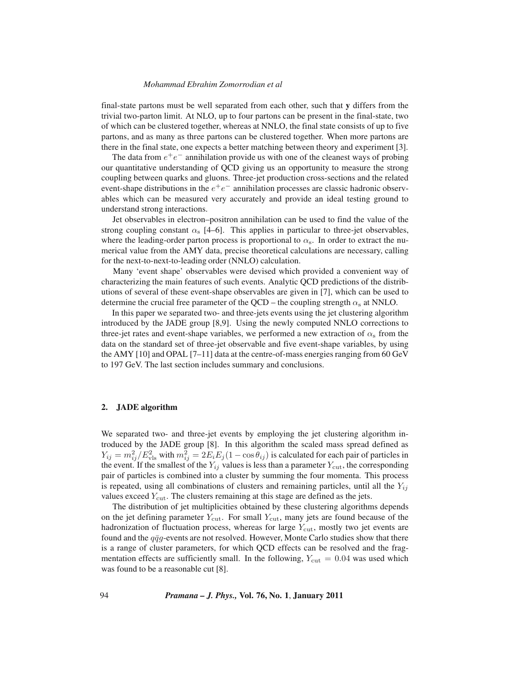final-state partons must be well separated from each other, such that **y** differs from the trivial two-parton limit. At NLO, up to four partons can be present in the final-state, two of which can be clustered together, whereas at NNLO, the final state consists of up to five partons, and as many as three partons can be clustered together. When more partons are there in the final state, one expects a better matching between theory and experiment [3].

The data from  $e^+e^-$  annihilation provide us with one of the cleanest ways of probing our quantitative understanding of QCD giving us an opportunity to measure the strong coupling between quarks and gluons. Three-jet production cross-sections and the related event-shape distributions in the  $e^+e^-$  annihilation processes are classic hadronic observables which can be measured very accurately and provide an ideal testing ground to understand strong interactions.

Jet observables in electron–positron annihilation can be used to find the value of the strong coupling constant  $\alpha_s$  [4–6]. This applies in particular to three-jet observables, where the leading-order parton process is proportional to  $\alpha_s$ . In order to extract the numerical value from the AMY data, precise theoretical calculations are necessary, calling for the next-to-next-to-leading order (NNLO) calculation.

Many 'event shape' observables were devised which provided a convenient way of characterizing the main features of such events. Analytic QCD predictions of the distributions of several of these event-shape observables are given in [7], which can be used to determine the crucial free parameter of the QCD – the coupling strength  $\alpha_s$  at NNLO.

In this paper we separated two- and three-jets events using the jet clustering algorithm introduced by the JADE group [8,9]. Using the newly computed NNLO corrections to three-jet rates and event-shape variables, we performed a new extraction of  $\alpha_s$  from the data on the standard set of three-jet observable and five event-shape variables, by using the AMY [10] and OPAL [7–11] data at the centre-of-mass energies ranging from 60 GeV to 197 GeV. The last section includes summary and conclusions.

## **2. JADE algorithm**

We separated two- and three-jet events by employing the jet clustering algorithm introduced by the JADE group [8]. In this algorithm the scaled mass spread defined as  $Y_{ij} = m_{ij}^2 / E_{\text{vls}}^2$  with  $m_{ij}^2 = 2E_i E_j (1 - \cos \theta_{ij})$  is calculated for each pair of particles in the event. If the smallest of the V<sub>s</sub> values is less than a parameter V<sub>s</sub> the corresponding the event. If the smallest of the  $Y_{ij}$  values is less than a parameter  $Y_{\text{cut}}$ , the corresponding pair of particles is combined into a cluster by summing the four momenta. This process is repeated, using all combinations of clusters and remaining particles, until all the  $Y_{ij}$ values exceed  $Y_{\text{cut}}$ . The clusters remaining at this stage are defined as the jets.

The distribution of jet multiplicities obtained by these clustering algorithms depends on the jet defining parameter  $Y_{\text{cut}}$ . For small  $Y_{\text{cut}}$ , many jets are found because of the hadronization of fluctuation process, whereas for large  $Y_{\text{cut}}$ , mostly two jet events are found and the  $q\bar{q}g$ -events are not resolved. However, Monte Carlo studies show that there is a range of cluster parameters, for which QCD effects can be resolved and the fragmentation effects are sufficiently small. In the following,  $Y_{\text{cut}} = 0.04$  was used which was found to be a reasonable cut [8].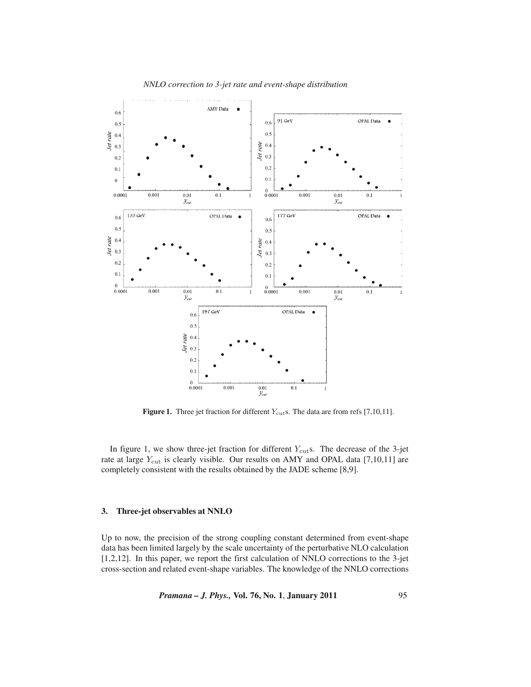

**Figure 1.** Three jet fraction for different  $Y_{\text{cut}}$ s. The data are from refs [7,10,11].

In figure 1, we show three-jet fraction for different  $Y_{\text{cut}}$ s. The decrease of the 3-jet rate at large  $Y_{\text{cut}}$  is clearly visible. Our results on AMY and OPAL data [7,10,11] are completely consistent with the results obtained by the JADE scheme [8,9].

# **3. Three-jet observables at NNLO**

Up to now, the precision of the strong coupling constant determined from event-shape data has been limited largely by the scale uncertainty of the perturbative NLO calculation [1,2,12]. In this paper, we report the first calculation of NNLO corrections to the 3-jet cross-section and related event-shape variables. The knowledge of the NNLO corrections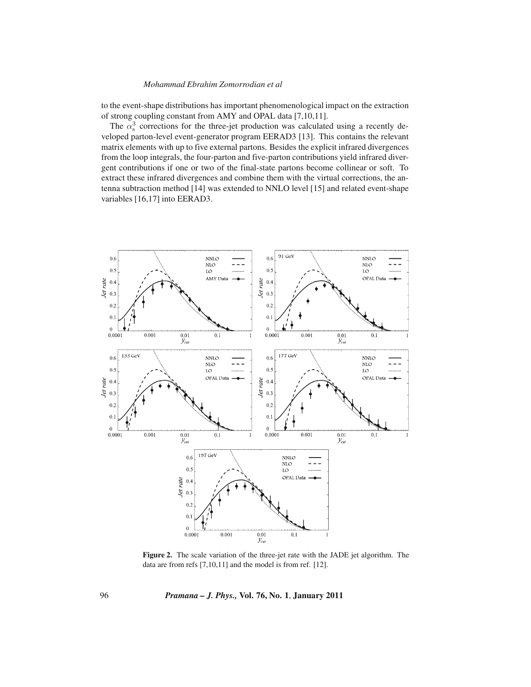to the event-shape distributions has important phenomenological impact on the extraction of strong coupling constant from AMY and OPAL data [7,10,11].

The  $\alpha_3^3$  corrections for the three-jet production was calculated using a recently de-<br>loned parton-level event-generator program EERAD3 [13]. This contains the relevant veloped parton-level event-generator program EERAD3 [13]. This contains the relevant matrix elements with up to five external partons. Besides the explicit infrared divergences from the loop integrals, the four-parton and five-parton contributions yield infrared divergent contributions if one or two of the final-state partons become collinear or soft. To extract these infrared divergences and combine them with the virtual corrections, the antenna subtraction method [14] was extended to NNLO level [15] and related event-shape variables [16,17] into EERAD3.



**Figure 2.** The scale variation of the three-jet rate with the JADE jet algorithm. The data are from refs [7,10,11] and the model is from ref. [12].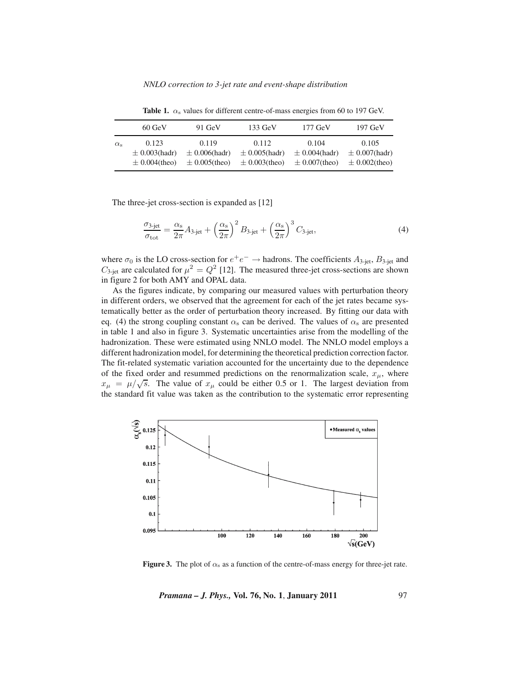|                  | $60$ GeV           | $91 \text{ GeV}$   | $133 \text{ GeV}$  | $177 \text{ GeV}$  | $197 \text{ GeV}$  |
|------------------|--------------------|--------------------|--------------------|--------------------|--------------------|
| $\alpha_{\rm s}$ | 0.123              | 0.119              | 0.112              | 0.104              | 0.105              |
|                  | $\pm$ 0.003(hadr)  | $\pm$ 0.006(hadr)  | $\pm$ 0.005(hadr)  | $\pm$ 0.004(hadr)  | $\pm$ 0.007(hadr)  |
|                  | $\pm 0.004$ (theo) | $\pm 0.005$ (theo) | $\pm 0.003$ (theo) | $\pm 0.007$ (theo) | $\pm 0.002$ (theo) |

**Table 1.**  $\alpha_s$  values for different centre-of-mass energies from 60 to 197 GeV.

The three-jet cross-section is expanded as [12]

$$
\frac{\sigma_{3\text{-jet}}}{\sigma_{\text{tot}}} = \frac{\alpha_{\text{s}}}{2\pi} A_{3\text{-jet}} + \left(\frac{\alpha_{\text{s}}}{2\pi}\right)^2 B_{3\text{-jet}} + \left(\frac{\alpha_{\text{s}}}{2\pi}\right)^3 C_{3\text{-jet}},\tag{4}
$$

where  $\sigma_0$  is the LO cross-section for  $e^+e^- \to$  hadrons. The coefficients  $A_{3-jet}$ ,  $B_{3-jet}$  and  $C_{3-jet}$  are calculated for  $\mu^2 = Q^2$  [12]. The measured three-jet cross-sections are shown in figure 2 for both AMY and OPAL data.

As the figures indicate, by comparing our measured values with perturbation theory in different orders, we observed that the agreement for each of the jet rates became systematically better as the order of perturbation theory increased. By fitting our data with eq. (4) the strong coupling constant  $\alpha_s$  can be derived. The values of  $\alpha_s$  are presented in table 1 and also in figure 3. Systematic uncertainties arise from the modelling of the hadronization. These were estimated using NNLO model. The NNLO model employs a different hadronization model, for determining the theoretical prediction correction factor. The fit-related systematic variation accounted for the uncertainty due to the dependence of the fixed order and resummed predictions on the renormalization scale,  $x_{\mu}$ , where  $x_{\mu} = \mu/\sqrt{s}$ . The value of  $x_{\mu}$  could be either 0.5 or 1. The largest deviation from the standard fit value was taken as the contribution to the systematic error representing



**Figure 3.** The plot of  $\alpha_s$  as a function of the centre-of-mass energy for three-jet rate.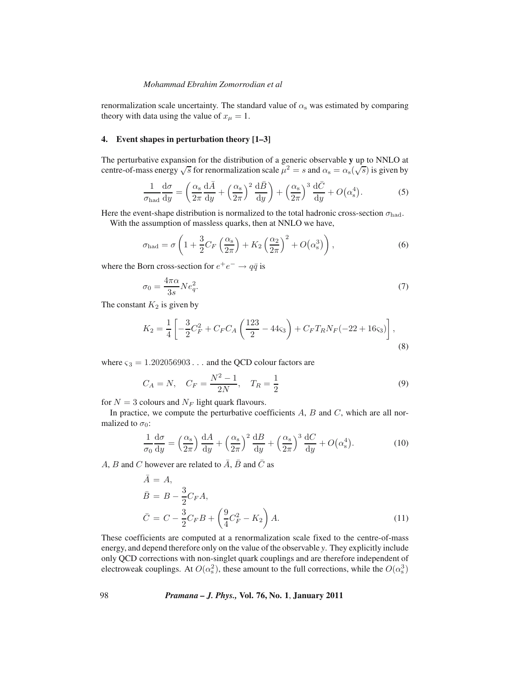renormalization scale uncertainty. The standard value of  $\alpha_s$  was estimated by comparing theory with data using the value of  $x_{\mu} = 1$ .

## **4. Event shapes in perturbation theory [1–3]**

The perturbative expansion for the distribution of a generic observable **y** up to NNLO at centre-of-mass energy  $\sqrt{s}$  for renormalization scale  $\mu^2 = s$  and  $\alpha_s = \alpha_s(\sqrt{s})$  is given by

$$
\frac{1}{\sigma_{\text{had}}} \frac{d\sigma}{dy} = \left(\frac{\alpha_s}{2\pi} \frac{d\bar{A}}{dy} + \left(\frac{\alpha_s}{2\pi}\right)^2 \frac{d\bar{B}}{dy}\right) + \left(\frac{\alpha_s}{2\pi}\right)^3 \frac{d\bar{C}}{dy} + O\left(\alpha_s^4\right). \tag{5}
$$

Here the event-shape distribution is normalized to the total hadronic cross-section  $\sigma_{\text{had}}$ . With the assumption of massless quarks, then at NNLO we have,

$$
\sigma_{\text{had}} = \sigma \left( 1 + \frac{3}{2} C_F \left( \frac{\alpha_s}{2\pi} \right) + K_2 \left( \frac{\alpha_2}{2\pi} \right)^2 + O(\alpha_s^3) \right),\tag{6}
$$

where the Born cross-section for  $e^+e^- \rightarrow q\bar{q}$  is

$$
\sigma_0 = \frac{4\pi\alpha}{3s} N e_q^2. \tag{7}
$$

The constant  $K_2$  is given by

$$
K_2 = \frac{1}{4} \left[ -\frac{3}{2} C_F^2 + C_F C_A \left( \frac{123}{2} - 44 \zeta_3 \right) + C_F T_R N_F (-22 + 16 \zeta_3) \right],\tag{8}
$$

where  $\varsigma_3 = 1.202056903...$  and the QCD colour factors are

$$
C_A = N, \quad C_F = \frac{N^2 - 1}{2N}, \quad T_R = \frac{1}{2}
$$
 (9)

for  $N = 3$  colours and  $N_F$  light quark flavours.

In practice, we compute the perturbative coefficients  $A$ ,  $B$  and  $C$ , which are all normalized to  $\sigma_0$ :

$$
\frac{1}{\sigma_0} \frac{d\sigma}{dy} = \left(\frac{\alpha_s}{2\pi}\right) \frac{dA}{dy} + \left(\frac{\alpha_s}{2\pi}\right)^2 \frac{dB}{dy} + \left(\frac{\alpha_s}{2\pi}\right)^3 \frac{dC}{dy} + O\left(\alpha_s^4\right). \tag{10}
$$

*A*, *B* and *C* however are related to  $\overline{A}$ ,  $\overline{B}$  and  $\overline{C}$  as

$$
\bar{A} = A,
$$
\n
$$
\bar{B} = B - \frac{3}{2} C_F A,
$$
\n
$$
\bar{C} = C - \frac{3}{2} C_F B + \left(\frac{9}{4} C_F^2 - K_2\right) A.
$$
\n(11)

These coefficients are computed at a renormalization scale fixed to the centre-of-mass energy, and depend therefore only on the value of the observable *y*. They explicitly include only QCD corrections with non-singlet quark couplings and are therefore independent of electroweak couplings. At  $O(\alpha_s^2)$ , these amount to the full corrections, while the  $O(\alpha_s^3)$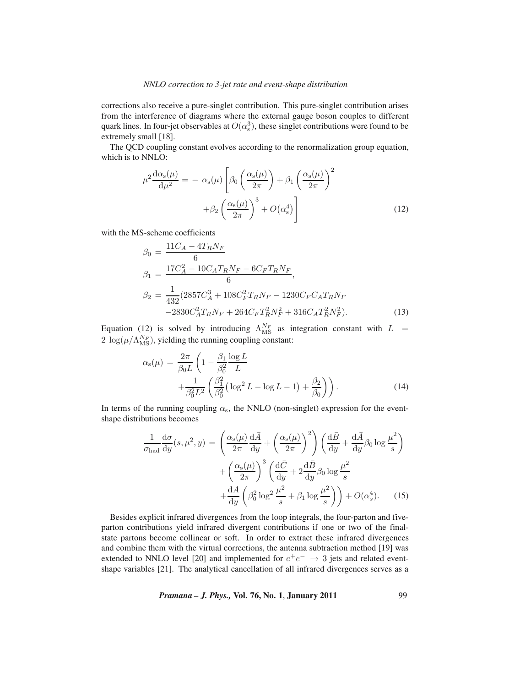corrections also receive a pure-singlet contribution. This pure-singlet contribution arises from the interference of diagrams where the external gauge boson couples to different quark lines. In four-jet observables at  $O(\alpha_s^3)$ , these singlet contributions were found to be<br>extremely small [18] extremely small [18].

The QCD coupling constant evolves according to the renormalization group equation, which is to NNLO:

$$
\mu^2 \frac{d\alpha_s(\mu)}{d\mu^2} = -\alpha_s(\mu) \left[ \beta_0 \left( \frac{\alpha_s(\mu)}{2\pi} \right) + \beta_1 \left( \frac{\alpha_s(\mu)}{2\pi} \right)^2 + \beta_2 \left( \frac{\alpha_s(\mu)}{2\pi} \right)^3 + O(\alpha_s^4) \right]
$$
(12)

with the MS-scheme coefficients

$$
\beta_0 = \frac{11C_A - 4T_RN_F}{6}
$$
\n
$$
\beta_1 = \frac{17C_A^2 - 10C_A T_R N_F - 6C_F T_R N_F}{6},
$$
\n
$$
\beta_2 = \frac{1}{432} (2857C_A^3 + 108C_F^2 T_R N_F - 1230C_F C_A T_R N_F -2830C_A^2 T_R N_F + 264C_F T_R^2 N_F^2 + 316C_A T_R^2 N_F^2).
$$
\n(13)

Equation (12) is solved by introducing  $\Lambda_{MS}^{N_F}$  as integration constant with  $L = 2 \log(u/\Lambda_{FS})$  viabling the numing coupling constant:  $2 \log(\mu/\Lambda_{\rm MS}^{N_F})$ , yielding the running coupling constant:

$$
\alpha_{s}(\mu) = \frac{2\pi}{\beta_{0}L} \left( 1 - \frac{\beta_{1}}{\beta_{0}^{2}} \frac{\log L}{L} + \frac{1}{\beta_{0}^{2}L^{2}} \left( \frac{\beta_{1}^{2}}{\beta_{0}^{2}} \left( \log^{2} L - \log L - 1 \right) + \frac{\beta_{2}}{\beta_{0}} \right) \right).
$$
\n(14)

In terms of the running coupling  $\alpha_s$ , the NNLO (non-singlet) expression for the eventshape distributions becomes

$$
\frac{1}{\sigma_{\text{had}}} \frac{d\sigma}{dy}(s, \mu^2, y) = \left(\frac{\alpha_s(\mu)}{2\pi} \frac{d\bar{A}}{dy} + \left(\frac{\alpha_s(\mu)}{2\pi}\right)^2\right) \left(\frac{d\bar{B}}{dy} + \frac{d\bar{A}}{dy}\beta_0 \log \frac{\mu^2}{s}\right) \n+ \left(\frac{\alpha_s(\mu)}{2\pi}\right)^3 \left(\frac{d\bar{C}}{dy} + 2\frac{d\bar{B}}{dy}\beta_0 \log \frac{\mu^2}{s} + \frac{d\bar{A}}{dy}\left(\beta_0^2 \log^2 \frac{\mu^2}{s} + \beta_1 \log \frac{\mu^2}{s}\right)\right) + O(\alpha_s^4). \tag{15}
$$

Besides explicit infrared divergences from the loop integrals, the four-parton and fiveparton contributions yield infrared divergent contributions if one or two of the finalstate partons become collinear or soft. In order to extract these infrared divergences and combine them with the virtual corrections, the antenna subtraction method [19] was extended to NNLO level [20] and implemented for  $e^+e^- \rightarrow 3$  jets and related eventshape variables [21]. The analytical cancellation of all infrared divergences serves as a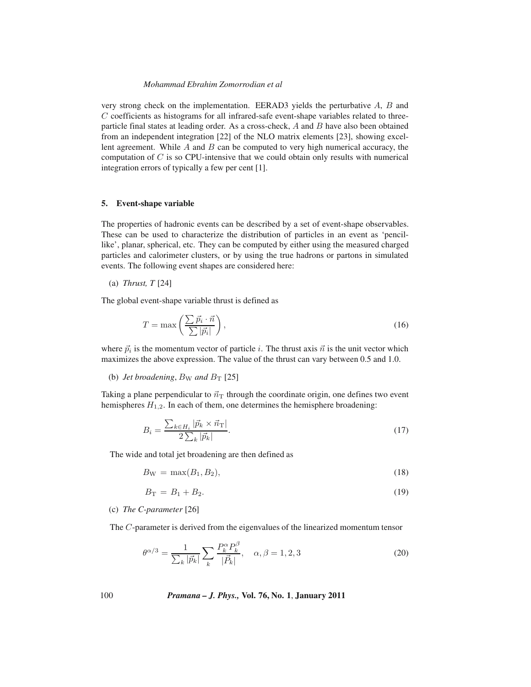very strong check on the implementation. EERAD3 yields the perturbative A, B and C coefficients as histograms for all infrared-safe event-shape variables related to threeparticle final states at leading order. As a cross-check,  $A$  and  $B$  have also been obtained from an independent integration [22] of the NLO matrix elements [23], showing excellent agreement. While  $A$  and  $B$  can be computed to very high numerical accuracy, the computation of  $C$  is so CPU-intensive that we could obtain only results with numerical integration errors of typically a few per cent [1].

#### **5. Event-shape variable**

The properties of hadronic events can be described by a set of event-shape observables. These can be used to characterize the distribution of particles in an event as 'pencillike', planar, spherical, etc. They can be computed by either using the measured charged particles and calorimeter clusters, or by using the true hadrons or partons in simulated events. The following event shapes are considered here:

(a) *Thrust, T* [24]

The global event-shape variable thrust is defined as

$$
T = \max\left(\frac{\sum \vec{p}_i \cdot \vec{n}}{\sum |\vec{p}_i|}\right),\tag{16}
$$

where  $\vec{p}_i$  is the momentum vector of particle i. The thrust axis  $\vec{n}$  is the unit vector which maximizes the above expression. The value of the thrust can vary between 0.5 and 1.0.

(b) *Jet broadening*,  $B_W$  *and*  $B_T$  [25]

Taking a plane perpendicular to  $\vec{n}_T$  through the coordinate origin, one defines two event hemispheres  $H_{1,2}$ . In each of them, one determines the hemisphere broadening:

$$
B_i = \frac{\sum_{k \in H_i} |\vec{p}_k \times \vec{n}_\text{T}|}{2 \sum_k |\vec{p}_k|}.
$$
 (17)

The wide and total jet broadening are then defined as

$$
B_{\rm W} = \max(B_1, B_2),\tag{18}
$$

$$
B_{\rm T} = B_1 + B_2. \tag{19}
$$

## (c) *The C-parameter* [26]

The C-parameter is derived from the eigenvalues of the linearized momentum tensor

$$
\theta^{\alpha/3} = \frac{1}{\sum_{k} |\vec{p}_{k}|} \sum_{k} \frac{P_{k}^{\alpha} P_{k}^{\beta}}{|\vec{P}_{k}|}, \quad \alpha, \beta = 1, 2, 3
$$
\n(20)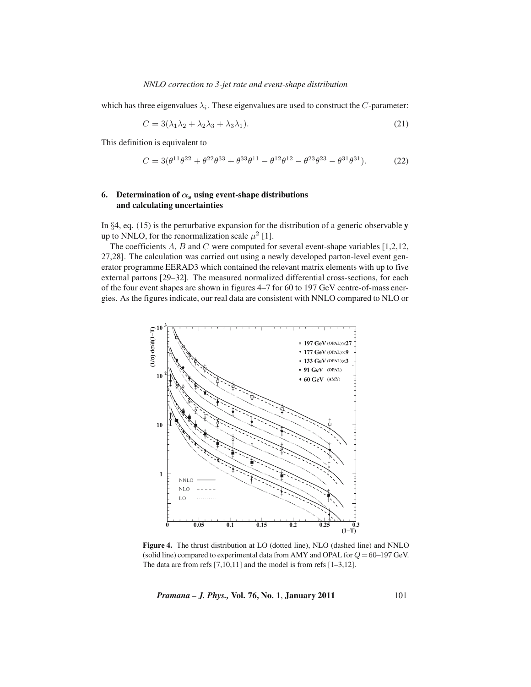which has three eigenvalues  $\lambda_i$ . These eigenvalues are used to construct the C-parameter:

$$
C = 3(\lambda_1 \lambda_2 + \lambda_2 \lambda_3 + \lambda_3 \lambda_1). \tag{21}
$$

This definition is equivalent to

$$
C = 3(\theta^{11}\theta^{22} + \theta^{22}\theta^{33} + \theta^{33}\theta^{11} - \theta^{12}\theta^{12} - \theta^{23}\theta^{23} - \theta^{31}\theta^{31}).
$$
 (22)

# **6.** Determination of  $\alpha_s$  using event-shape distributions **and calculating uncertainties**

In §4, eq. (15) is the perturbative expansion for the distribution of a generic observable **y** up to NNLO, for the renormalization scale  $\mu^2$  [1].

The coefficients  $A$ ,  $B$  and  $C$  were computed for several event-shape variables [1,2,12, 27,28]. The calculation was carried out using a newly developed parton-level event generator programme EERAD3 which contained the relevant matrix elements with up to five external partons [29–32]. The measured normalized differential cross-sections, for each of the four event shapes are shown in figures 4–7 for 60 to 197 GeV centre-of-mass energies. As the figures indicate, our real data are consistent with NNLO compared to NLO or



**Figure 4.** The thrust distribution at LO (dotted line), NLO (dashed line) and NNLO (solid line) compared to experimental data from AMY and OPAL for  $Q = 60-197$  GeV. The data are from refs  $[7,10,11]$  and the model is from refs  $[1-3,12]$ .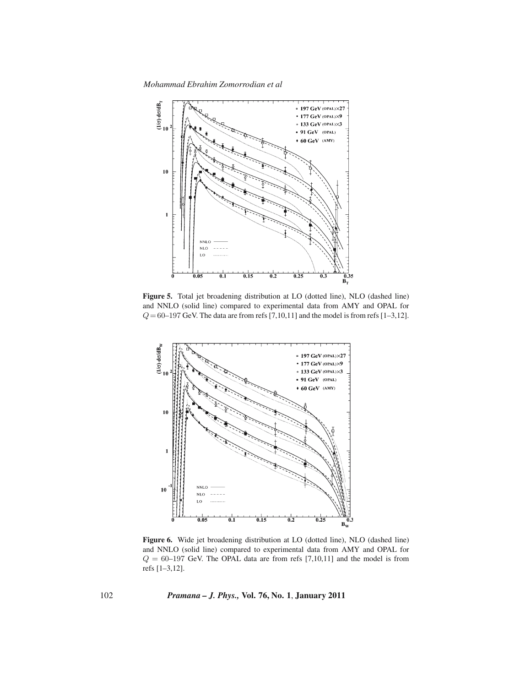*Mohammad Ebrahim Zomorrodian et al*



**Figure 5.** Total jet broadening distribution at LO (dotted line), NLO (dashed line) and NNLO (solid line) compared to experimental data from AMY and OPAL for  $Q = 60-197$  GeV. The data are from refs [7,10,11] and the model is from refs [1–3,12].



**Figure 6.** Wide jet broadening distribution at LO (dotted line), NLO (dashed line) and NNLO (solid line) compared to experimental data from AMY and OPAL for  $Q = 60-197$  GeV. The OPAL data are from refs [7,10,11] and the model is from refs [1–3,12].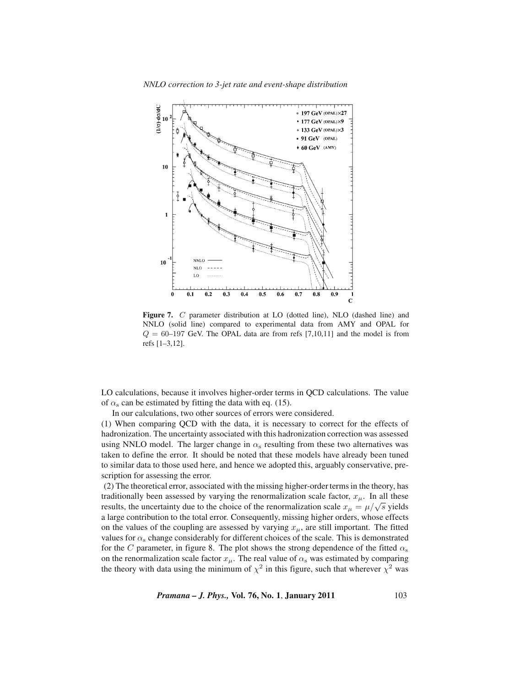*NNLO correction to 3-jet rate and event-shape distribution*



Figure 7. C parameter distribution at LO (dotted line), NLO (dashed line) and NNLO (solid line) compared to experimental data from AMY and OPAL for  $Q = 60-197$  GeV. The OPAL data are from refs [7,10,11] and the model is from refs [1–3,12].

LO calculations, because it involves higher-order terms in QCD calculations. The value of  $\alpha_s$  can be estimated by fitting the data with eq. (15).

In our calculations, two other sources of errors were considered.

(1) When comparing QCD with the data, it is necessary to correct for the effects of hadronization. The uncertainty associated with this hadronization correction was assessed using NNLO model. The larger change in  $\alpha_s$  resulting from these two alternatives was taken to define the error. It should be noted that these models have already been tuned to similar data to those used here, and hence we adopted this, arguably conservative, prescription for assessing the error.

(2) The theoretical error, associated with the missing higher-order terms in the theory, has traditionally been assessed by varying the renormalization scale factor,  $x_{\mu}$ . In all these results, the uncertainty due to the choice of the renormalization scale  $x_{\mu} = \mu/\sqrt{s}$  yields a large contribution to the total error. Consequently, missing higher orders, whose effects on the values of the coupling are assessed by varying  $x_{\mu}$ , are still important. The fitted values for  $\alpha_s$  change considerably for different choices of the scale. This is demonstrated for the C parameter, in figure 8. The plot shows the strong dependence of the fitted  $\alpha_s$ on the renormalization scale factor  $x_{\mu}$ . The real value of  $\alpha_s$  was estimated by comparing the theory with data using the minimum of  $\chi^2$  in this figure, such that wherever  $\chi^2$  was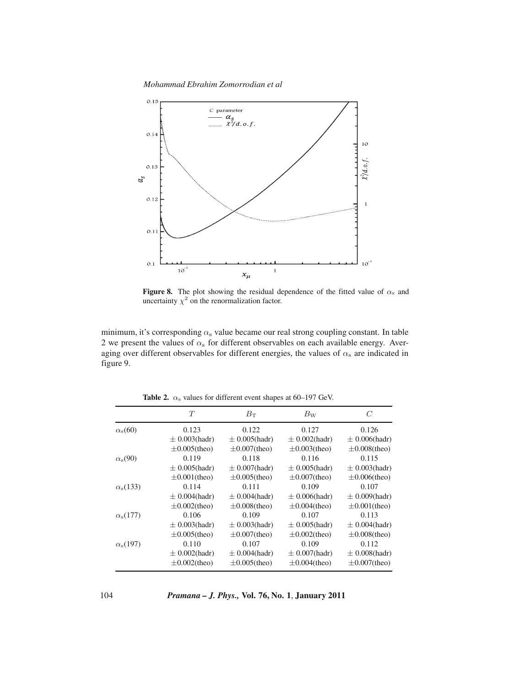*Mohammad Ebrahim Zomorrodian et al*



**Figure 8.** The plot showing the residual dependence of the fitted value of  $\alpha_s$  and uncertainty  $\chi^2$  on the renormalization factor.

minimum, it's corresponding  $\alpha_s$  value became our real strong coupling constant. In table 2 we present the values of  $\alpha_s$  for different observables on each available energy. Averaging over different observables for different energies, the values of  $\alpha_s$  are indicated in figure 9.

|                       | T                  | $B_{\rm T}$        | $B_{\rm W}$        | C                  |
|-----------------------|--------------------|--------------------|--------------------|--------------------|
| $\alpha_{\rm s}(60)$  | 0.123              | 0.122              | 0.127              | 0.126              |
|                       | $\pm$ 0.003(hadr)  | $\pm$ 0.005(hadr)  | $\pm$ 0.002(hadr)  | $\pm$ 0.006(hadr)  |
|                       | $\pm 0.005$ (theo) | $\pm 0.007$ (theo) | $\pm 0.003$ (theo) | $\pm 0.008$ (theo) |
| $\alpha_{\rm s}(90)$  | 0.119              | 0.118              | 0.116              | 0.115              |
|                       | $\pm$ 0.005(hadr)  | $\pm$ 0.007(hadr)  | $\pm$ 0.005(hadr)  | $\pm$ 0.003(hadr)  |
|                       | $\pm 0.001$ (theo) | $\pm 0.005$ (theo) | $\pm 0.007$ (theo) | $\pm 0.006$ (theo) |
| $\alpha_{\rm s}(133)$ | 0.114              | 0.111              | 0.109              | 0.107              |
|                       | $\pm$ 0.004(hadr)  | $\pm 0.004$ (hadr) | $\pm$ 0.006(hadr)  | $\pm$ 0.009(hadr)  |
|                       | $\pm 0.002$ (theo) | $\pm 0.008$ (theo) | $\pm 0.004$ (theo) | $\pm 0.001$ (theo) |
| $\alpha_{\rm s}(177)$ | 0.106              | 0.109              | 0.107              | 0.113              |
|                       | $\pm$ 0.003(hadr)  | $\pm$ 0.003(hadr)  | $\pm$ 0.005(hadr)  | $\pm$ 0.004(hadr)  |
|                       | $\pm 0.005$ (theo) | $\pm 0.007$ (theo) | $\pm 0.002$ (theo) | $\pm 0.008$ (theo) |
| $\alpha_{\rm s}(197)$ | 0.110              | 0.107              | 0.109              | 0.112              |
|                       | $\pm$ 0.002(hadr)  | $\pm 0.004$ (hadr) | $\pm$ 0.007(hadr)  | $\pm$ 0.008(hadr)  |
|                       | $\pm 0.002$ (theo) | $\pm 0.005$ (theo) | $\pm 0.004$ (theo) | $\pm 0.007$ (theo) |

**Table 2.**  $\alpha_s$  values for different event shapes at 60–197 GeV.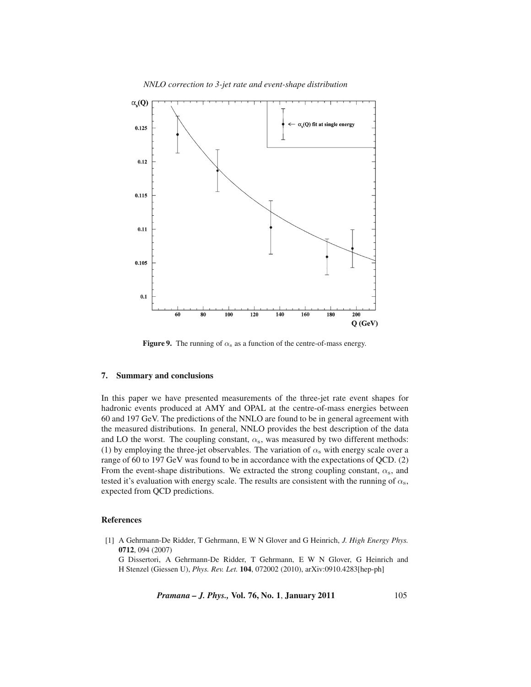

**Figure 9.** The running of  $\alpha_s$  as a function of the centre-of-mass energy.

## **7. Summary and conclusions**

In this paper we have presented measurements of the three-jet rate event shapes for hadronic events produced at AMY and OPAL at the centre-of-mass energies between 60 and 197 GeV. The predictions of the NNLO are found to be in general agreement with the measured distributions. In general, NNLO provides the best description of the data and LO the worst. The coupling constant,  $\alpha_s$ , was measured by two different methods: (1) by employing the three-jet observables. The variation of  $\alpha_s$  with energy scale over a range of 60 to 197 GeV was found to be in accordance with the expectations of QCD. (2) From the event-shape distributions. We extracted the strong coupling constant,  $\alpha_s$ , and tested it's evaluation with energy scale. The results are consistent with the running of  $\alpha_s$ , expected from QCD predictions.

## **References**

[1] A Gehrmann-De Ridder, T Gehrmann, E W N Glover and G Heinrich, *J. High Energy Phys.* **0712**, 094 (2007)

G Dissertori, A Gehrmann-De Ridder, T Gehrmann, E W N Glover, G Heinrich and H Stenzel (Giessen U), *Phys. Rev. Let.* **104**, 072002 (2010), arXiv:0910.4283[hep-ph]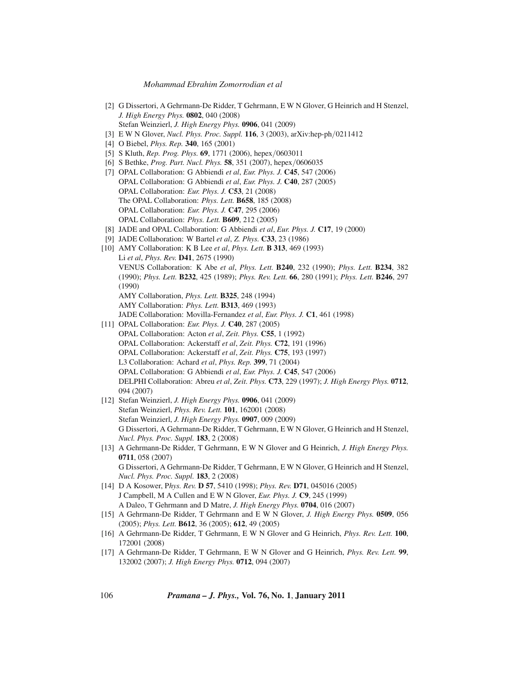- [2] G Dissertori, A Gehrmann-De Ridder, T Gehrmann, E W N Glover, G Heinrich and H Stenzel, *J. High Energy Phys.* **0802**, 040 (2008) Stefan Weinzierl, *J. High Energy Phys.* **0906**, 041 (2009)
- [3] E W N Glover, *Nucl. Phys. Proc. Suppl.* **116**, 3 (2003), arXiv:hep-ph/0211412
- [4] O Biebel, *Phys. Rep.* **340**, 165 (2001)
- [5] S Kluth, *Rep. Prog. Phys.* **69**, 1771 (2006), hepex/0603011
- [6] S Bethke, *Prog. Part. Nucl. Phys.* **58**, 351 (2007), hepex/0606035
- [7] OPAL Collaboration: G Abbiendi *et al*, *Eur. Phys. J.* **C45**, 547 (2006) OPAL Collaboration: G Abbiendi *et al*, *Eur. Phys. J.* **C40**, 287 (2005) OPAL Collaboration: *Eur. Phys. J.* **C53**, 21 (2008) The OPAL Collaboration: *Phys. Lett.* **B658**, 185 (2008) OPAL Collaboration: *Eur. Phys. J.* **C47**, 295 (2006) OPAL Collaboration: *Phys. Lett.* **B609**, 212 (2005)
- [8] JADE and OPAL Collaboration: G Abbiendi *et al*, *Eur. Phys. J.* **C17**, 19 (2000)
- [9] JADE Collaboration: W Bartel *et al*, *Z. Phys.* **C33**, 23 (1986)
- [10] AMY Collaboration: K B Lee *et al*, *Phys. Lett.* **B 313**, 469 (1993) Li *et al*, *Phys. Rev.* **D41**, 2675 (1990) VENUS Collaboration: K Abe *et al*, *Phys. Lett.* **B240**, 232 (1990); *Phys. Lett.* **B234**, 382 (1990); *Phys. Lett.* **B232**, 425 (1989); *Phys. Rev. Lett.* **66**, 280 (1991); *Phys. Lett.* **B246**, 297 (1990) AMY Collaboration, *Phys. Lett.* **B325**, 248 (1994) AMY Collaboration: *Phys. Lett.* **B313**, 469 (1993) JADE Collaboration: Movilla-Fernandez *et al*, *Eur. Phys. J.* **C1**, 461 (1998) [11] OPAL Collaboration: *Eur. Phys. J.* **C40**, 287 (2005) OPAL Collaboration: Acton *et al*, *Zeit. Phys.* **C55**, 1 (1992) OPAL Collaboration: Ackerstaff *et al*, *Zeit. Phys.* **C72**, 191 (1996) OPAL Collaboration: Ackerstaff *et al*, *Zeit. Phys.* **C75**, 193 (1997) L3 Collaboration: Achard *et al*, *Phys. Rep.* **399**, 71 (2004) OPAL Collaboration: G Abbiendi *et al*, *Eur. Phys. J.* **C45**, 547 (2006) DELPHI Collaboration: Abreu *et al*, *Zeit. Phys.* **C73**, 229 (1997); *J. High Energy Phys.* **0712**, 094 (2007) [12] Stefan Weinzierl, *J. High Energy Phys.* **0906**, 041 (2009) Stefan Weinzierl, *Phys. Rev. Lett.* **101**, 162001 (2008)
	- Stefan Weinzierl, *J. High Energy Phys.* **0907**, 009 (2009) G Dissertori, A Gehrmann-De Ridder, T Gehrmann, E W N Glover, G Heinrich and H Stenzel, *Nucl. Phys. Proc. Suppl.* **183**, 2 (2008)
- [13] A Gehrmann-De Ridder, T Gehrmann, E W N Glover and G Heinrich, *J. High Energy Phys.* **0711**, 058 (2007) G Dissertori, A Gehrmann-De Ridder, T Gehrmann, E W N Glover, G Heinrich and H Stenzel,
- *Nucl. Phys. Proc. Suppl.* **183**, 2 (2008) [14] D A Kosower, P*hys. Rev.* **D 57**, 5410 (1998); *Phys. Rev.* **D71**, 045016 (2005) J Campbell, M A Cullen and E W N Glover, *Eur. Phys. J.* **C9**, 245 (1999) A Daleo, T Gehrmann and D Matre, *J. High Energy Phys.* **0704**, 016 (2007)
- [15] A Gehrmann-De Ridder, T Gehrmann and E W N Glover, *J. High Energy Phys.* **0509**, 056 (2005); *Phys. Lett.* **B612**, 36 (2005); **612**, 49 (2005)
- [16] A Gehrmann-De Ridder, T Gehrmann, E W N Glover and G Heinrich, *Phys. Rev. Lett.* **100**, 172001 (2008)
- [17] A Gehrmann-De Ridder, T Gehrmann, E W N Glover and G Heinrich, *Phys. Rev. Lett.* **99**, 132002 (2007); *J. High Energy Phys.* **0712**, 094 (2007)